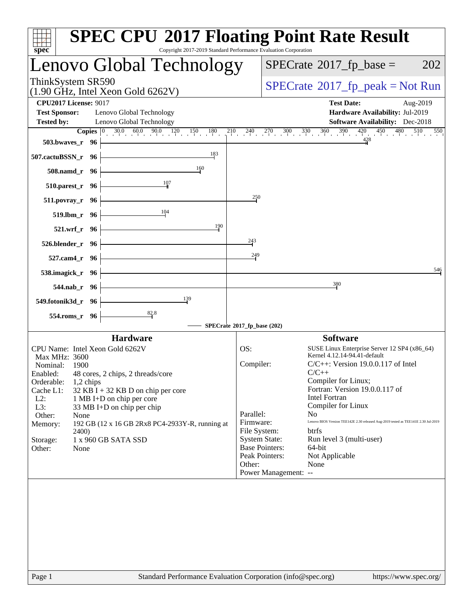| spec <sup>®</sup>                                                       | <b>SPEC CPU®2017 Floating Point Rate Result</b><br>Copyright 2017-2019 Standard Performance Evaluation Corporation                                                      |
|-------------------------------------------------------------------------|-------------------------------------------------------------------------------------------------------------------------------------------------------------------------|
| Lenovo Global Technology                                                | $SPECrate^{\circ}2017$ _fp_base =<br>202                                                                                                                                |
| ThinkSystem SR590<br>$(1.90$ GHz, Intel Xeon Gold 6262V)                | $SPECrate^{\circ}2017rfp peak = Not Run$                                                                                                                                |
| <b>CPU2017 License: 9017</b>                                            | <b>Test Date:</b><br>Aug-2019                                                                                                                                           |
| <b>Test Sponsor:</b><br>Lenovo Global Technology                        | Hardware Availability: Jul-2019                                                                                                                                         |
| <b>Tested by:</b><br>Lenovo Global Technology                           | <b>Software Availability:</b> Dec-2018                                                                                                                                  |
| 503.bwayes_r 96                                                         | <b>Copies</b> $\begin{bmatrix} 0 & 30.0 & 60.0 & 90.0 & 120 & 150 & 180 & 210 & 240 & 270 & 300 & 330 & 360 & 390 & 420 & 450 & 480 \end{bmatrix}$<br>510<br>550<br>428 |
| 183<br>507.cactuBSSN_r 96                                               |                                                                                                                                                                         |
| 160<br>508.namd_r 96                                                    |                                                                                                                                                                         |
| 107<br>510.parest_r 96                                                  |                                                                                                                                                                         |
| $511. povray_r$ 96                                                      | 250                                                                                                                                                                     |
| 104<br>519.lbm_r 96                                                     |                                                                                                                                                                         |
| 190<br>521.wrf_r 96                                                     | 243                                                                                                                                                                     |
| 526.blender_r 96                                                        | 249                                                                                                                                                                     |
| 527.cam4_r 96<br>538.imagick_r 96                                       | 546                                                                                                                                                                     |
| 544.nab_r 96                                                            | 380                                                                                                                                                                     |
| 139<br>549.fotonik3d_r 96                                               |                                                                                                                                                                         |
| 82.8<br>554.roms_r 96                                                   |                                                                                                                                                                         |
|                                                                         | SPECrate®2017_fp_base (202)                                                                                                                                             |
| <b>Hardware</b>                                                         | <b>Software</b>                                                                                                                                                         |
| CPU Name: Intel Xeon Gold 6262V                                         | OS:<br>SUSE Linux Enterprise Server 12 SP4 (x86_64)                                                                                                                     |
| Max MHz: 3600                                                           | Kernel 4.12.14-94.41-default<br>Compiler:<br>$C/C++$ : Version 19.0.0.117 of Intel                                                                                      |
| Nominal: 1900                                                           | $C/C_{++}$                                                                                                                                                              |
| Enabled: 48 cores, 2 chips, 2 threads/core<br>Orderable:<br>$1,2$ chips | Compiler for Linux;                                                                                                                                                     |
| Cache L1:<br>$32$ KB I + 32 KB D on chip per core                       | Fortran: Version 19.0.0.117 of                                                                                                                                          |
| $L2$ :<br>1 MB I+D on chip per core                                     | <b>Intel Fortran</b>                                                                                                                                                    |
| L3:<br>33 MB I+D on chip per chip                                       | Compiler for Linux                                                                                                                                                      |
| Other:<br>None                                                          | Parallel:<br>No.<br>Lenovo BIOS Version TEE142E 2.30 released Aug-2019 tested as TEE141E 2.30 Jul-2019                                                                  |
| Memory:<br>192 GB (12 x 16 GB 2Rx8 PC4-2933Y-R, running at<br>2400)     | Firmware:<br>File System:<br>btrfs                                                                                                                                      |
| 1 x 960 GB SATA SSD<br>Storage:                                         | <b>System State:</b><br>Run level 3 (multi-user)                                                                                                                        |
| Other:<br>None                                                          | <b>Base Pointers:</b><br>64-bit                                                                                                                                         |
|                                                                         | Peak Pointers:<br>Not Applicable                                                                                                                                        |
|                                                                         | Other:<br>None                                                                                                                                                          |
|                                                                         | Power Management: --                                                                                                                                                    |
|                                                                         |                                                                                                                                                                         |
| Page 1                                                                  | Standard Performance Evaluation Corporation (info@spec.org)<br>https://www.spec.org/                                                                                    |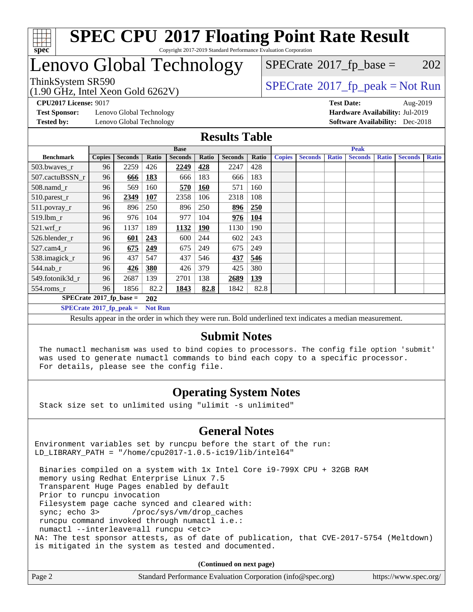

## Lenovo Global Technology

ThinkSystem SR590<br>(1.00 GHz, Intel Year Gald 6262V) [SPECrate](http://www.spec.org/auto/cpu2017/Docs/result-fields.html#SPECrate2017fppeak)®[2017\\_fp\\_peak = N](http://www.spec.org/auto/cpu2017/Docs/result-fields.html#SPECrate2017fppeak)ot Run  $SPECTate$ <sup>®</sup>[2017\\_fp\\_base =](http://www.spec.org/auto/cpu2017/Docs/result-fields.html#SPECrate2017fpbase) 202

#### (1.90 GHz, Intel Xeon Gold 6262V)

**[Test Sponsor:](http://www.spec.org/auto/cpu2017/Docs/result-fields.html#TestSponsor)** Lenovo Global Technology **[Hardware Availability:](http://www.spec.org/auto/cpu2017/Docs/result-fields.html#HardwareAvailability)** Jul-2019 **[Tested by:](http://www.spec.org/auto/cpu2017/Docs/result-fields.html#Testedby)** Lenovo Global Technology **[Software Availability:](http://www.spec.org/auto/cpu2017/Docs/result-fields.html#SoftwareAvailability)** Dec-2018

**[CPU2017 License:](http://www.spec.org/auto/cpu2017/Docs/result-fields.html#CPU2017License)** 9017 **[Test Date:](http://www.spec.org/auto/cpu2017/Docs/result-fields.html#TestDate)** Aug-2019

#### **[Results Table](http://www.spec.org/auto/cpu2017/Docs/result-fields.html#ResultsTable)**

|                                  | <b>Base</b>   |                |                |                | <b>Peak</b> |                |       |               |                |              |                |              |                |              |
|----------------------------------|---------------|----------------|----------------|----------------|-------------|----------------|-------|---------------|----------------|--------------|----------------|--------------|----------------|--------------|
| <b>Benchmark</b>                 | <b>Copies</b> | <b>Seconds</b> | <b>Ratio</b>   | <b>Seconds</b> | Ratio       | <b>Seconds</b> | Ratio | <b>Copies</b> | <b>Seconds</b> | <b>Ratio</b> | <b>Seconds</b> | <b>Ratio</b> | <b>Seconds</b> | <b>Ratio</b> |
| 503.bwayes_r                     | 96            | 2259           | 426            | 2249           | 428         | 2247           | 428   |               |                |              |                |              |                |              |
| 507.cactuBSSN r                  | 96            | 666            | 183            | 666            | 183         | 666            | 183   |               |                |              |                |              |                |              |
| $508$ .namd $_r$                 | 96            | 569            | 160            | 570            | 160         | 571            | 160   |               |                |              |                |              |                |              |
| 510.parest_r                     | 96            | 2349           | <b>107</b>     | 2358           | 106         | 2318           | 108   |               |                |              |                |              |                |              |
| 511.povray_r                     | 96            | 896            | 250            | 896            | 250         | 896            | 250   |               |                |              |                |              |                |              |
| 519.lbm r                        | 96            | 976            | 104            | 977            | 104         | 976            | 104   |               |                |              |                |              |                |              |
| $521.wrf$ r                      | 96            | 1137           | 189            | 1132           | <b>190</b>  | 1130           | 190   |               |                |              |                |              |                |              |
| 526.blender r                    | 96            | 601            | 243            | 600            | 244         | 602            | 243   |               |                |              |                |              |                |              |
| 527.cam4 r                       | 96            | 675            | 249            | 675            | 249         | 675            | 249   |               |                |              |                |              |                |              |
| 538.imagick_r                    | 96            | 437            | 547            | 437            | 546         | 437            | 546   |               |                |              |                |              |                |              |
| $544$ .nab r                     | 96            | 426            | 380            | 426            | 379         | 425            | 380   |               |                |              |                |              |                |              |
| 549.fotonik3d r                  | 96            | 2687           | 139            | 2701           | 138         | 2689           | 139   |               |                |              |                |              |                |              |
| $554$ .roms_r                    | 96            | 1856           | 82.2           | 1843           | 82.8        | 1842           | 82.8  |               |                |              |                |              |                |              |
| $SPECrate*2017_fp\_base =$       |               |                | <b>202</b>     |                |             |                |       |               |                |              |                |              |                |              |
| $SPECrate^{\circ}2017$ fp peak = |               |                | <b>Not Run</b> |                |             |                |       |               |                |              |                |              |                |              |

Results appear in the [order in which they were run.](http://www.spec.org/auto/cpu2017/Docs/result-fields.html#RunOrder) Bold underlined text [indicates a median measurement.](http://www.spec.org/auto/cpu2017/Docs/result-fields.html#Median)

#### **[Submit Notes](http://www.spec.org/auto/cpu2017/Docs/result-fields.html#SubmitNotes)**

 The numactl mechanism was used to bind copies to processors. The config file option 'submit' was used to generate numactl commands to bind each copy to a specific processor. For details, please see the config file.

### **[Operating System Notes](http://www.spec.org/auto/cpu2017/Docs/result-fields.html#OperatingSystemNotes)**

Stack size set to unlimited using "ulimit -s unlimited"

### **[General Notes](http://www.spec.org/auto/cpu2017/Docs/result-fields.html#GeneralNotes)**

Environment variables set by runcpu before the start of the run: LD\_LIBRARY\_PATH = "/home/cpu2017-1.0.5-ic19/lib/intel64"

 Binaries compiled on a system with 1x Intel Core i9-799X CPU + 32GB RAM memory using Redhat Enterprise Linux 7.5 Transparent Huge Pages enabled by default Prior to runcpu invocation Filesystem page cache synced and cleared with: sync; echo 3> /proc/sys/vm/drop\_caches runcpu command invoked through numactl i.e.: numactl --interleave=all runcpu <etc> NA: The test sponsor attests, as of date of publication, that CVE-2017-5754 (Meltdown) is mitigated in the system as tested and documented.

**(Continued on next page)**

| Page 2<br>Standard Performance Evaluation Corporation (info@spec.org) | https://www.spec.org/ |
|-----------------------------------------------------------------------|-----------------------|
|-----------------------------------------------------------------------|-----------------------|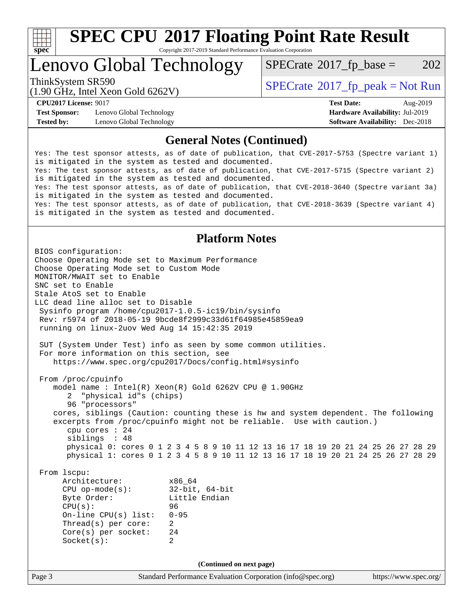

# **[SPEC CPU](http://www.spec.org/auto/cpu2017/Docs/result-fields.html#SPECCPU2017FloatingPointRateResult)[2017 Floating Point Rate Result](http://www.spec.org/auto/cpu2017/Docs/result-fields.html#SPECCPU2017FloatingPointRateResult)**

Copyright 2017-2019 Standard Performance Evaluation Corporation

### Lenovo Global Technology

 $SPECTate@2017_fp\_base = 202$ 

(1.90 GHz, Intel Xeon Gold 6262V)

ThinkSystem SR590<br>(1.00 CHz, Intel Year Cald 6262V) [SPECrate](http://www.spec.org/auto/cpu2017/Docs/result-fields.html#SPECrate2017fppeak)®[2017\\_fp\\_peak = N](http://www.spec.org/auto/cpu2017/Docs/result-fields.html#SPECrate2017fppeak)ot Run

**[Test Sponsor:](http://www.spec.org/auto/cpu2017/Docs/result-fields.html#TestSponsor)** Lenovo Global Technology **[Hardware Availability:](http://www.spec.org/auto/cpu2017/Docs/result-fields.html#HardwareAvailability)** Jul-2019 **[Tested by:](http://www.spec.org/auto/cpu2017/Docs/result-fields.html#Testedby)** Lenovo Global Technology **[Software Availability:](http://www.spec.org/auto/cpu2017/Docs/result-fields.html#SoftwareAvailability)** Dec-2018

**[CPU2017 License:](http://www.spec.org/auto/cpu2017/Docs/result-fields.html#CPU2017License)** 9017 **[Test Date:](http://www.spec.org/auto/cpu2017/Docs/result-fields.html#TestDate)** Aug-2019

#### **[General Notes \(Continued\)](http://www.spec.org/auto/cpu2017/Docs/result-fields.html#GeneralNotes)**

Yes: The test sponsor attests, as of date of publication, that CVE-2017-5753 (Spectre variant 1) is mitigated in the system as tested and documented. Yes: The test sponsor attests, as of date of publication, that CVE-2017-5715 (Spectre variant 2) is mitigated in the system as tested and documented. Yes: The test sponsor attests, as of date of publication, that CVE-2018-3640 (Spectre variant 3a) is mitigated in the system as tested and documented. Yes: The test sponsor attests, as of date of publication, that CVE-2018-3639 (Spectre variant 4) is mitigated in the system as tested and documented.

#### **[Platform Notes](http://www.spec.org/auto/cpu2017/Docs/result-fields.html#PlatformNotes)**

Page 3 Standard Performance Evaluation Corporation [\(info@spec.org\)](mailto:info@spec.org) <https://www.spec.org/> BIOS configuration: Choose Operating Mode set to Maximum Performance Choose Operating Mode set to Custom Mode MONITOR/MWAIT set to Enable SNC set to Enable Stale AtoS set to Enable LLC dead line alloc set to Disable Sysinfo program /home/cpu2017-1.0.5-ic19/bin/sysinfo Rev: r5974 of 2018-05-19 9bcde8f2999c33d61f64985e45859ea9 running on linux-2uov Wed Aug 14 15:42:35 2019 SUT (System Under Test) info as seen by some common utilities. For more information on this section, see <https://www.spec.org/cpu2017/Docs/config.html#sysinfo> From /proc/cpuinfo model name : Intel(R) Xeon(R) Gold 6262V CPU @ 1.90GHz 2 "physical id"s (chips) 96 "processors" cores, siblings (Caution: counting these is hw and system dependent. The following excerpts from /proc/cpuinfo might not be reliable. Use with caution.) cpu cores : 24 siblings : 48 physical 0: cores 0 1 2 3 4 5 8 9 10 11 12 13 16 17 18 19 20 21 24 25 26 27 28 29 physical 1: cores 0 1 2 3 4 5 8 9 10 11 12 13 16 17 18 19 20 21 24 25 26 27 28 29 From lscpu: Architecture: x86\_64 CPU op-mode(s): 32-bit, 64-bit Little Endian CPU(s): 96 On-line CPU(s) list: 0-95 Thread(s) per core: 2 Core(s) per socket: 24 Socket(s): 2 **(Continued on next page)**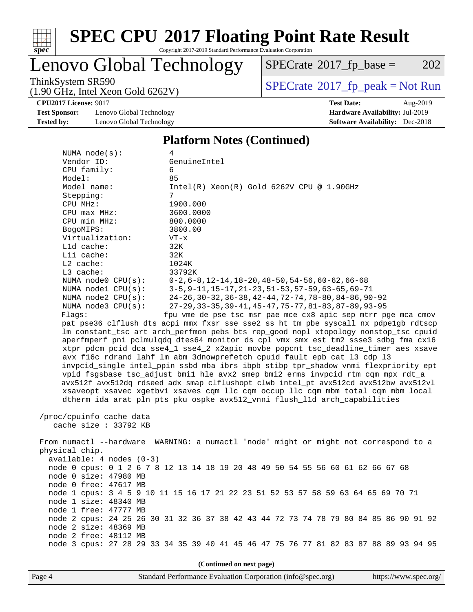

# **[SPEC CPU](http://www.spec.org/auto/cpu2017/Docs/result-fields.html#SPECCPU2017FloatingPointRateResult)[2017 Floating Point Rate Result](http://www.spec.org/auto/cpu2017/Docs/result-fields.html#SPECCPU2017FloatingPointRateResult)**

Copyright 2017-2019 Standard Performance Evaluation Corporation

### Lenovo Global Technology

 $SPECTate@2017_fp\_base = 202$ 

(1.90 GHz, Intel Xeon Gold 6262V)

ThinkSystem SR590<br>(1.90 GHz, Intel Xeon Gold 6262V) [SPECrate](http://www.spec.org/auto/cpu2017/Docs/result-fields.html#SPECrate2017fppeak)®[2017\\_fp\\_peak = N](http://www.spec.org/auto/cpu2017/Docs/result-fields.html#SPECrate2017fppeak)ot Run

**[CPU2017 License:](http://www.spec.org/auto/cpu2017/Docs/result-fields.html#CPU2017License)** 9017 **[Test Date:](http://www.spec.org/auto/cpu2017/Docs/result-fields.html#TestDate)** Aug-2019

**[Test Sponsor:](http://www.spec.org/auto/cpu2017/Docs/result-fields.html#TestSponsor)** Lenovo Global Technology **[Hardware Availability:](http://www.spec.org/auto/cpu2017/Docs/result-fields.html#HardwareAvailability)** Jul-2019 **[Tested by:](http://www.spec.org/auto/cpu2017/Docs/result-fields.html#Testedby)** Lenovo Global Technology **[Software Availability:](http://www.spec.org/auto/cpu2017/Docs/result-fields.html#SoftwareAvailability)** Dec-2018

#### **[Platform Notes \(Continued\)](http://www.spec.org/auto/cpu2017/Docs/result-fields.html#PlatformNotes)**

| NUMA $node(s):$            | 4                                                                                    |
|----------------------------|--------------------------------------------------------------------------------------|
| Vendor ID:                 | GenuineIntel                                                                         |
| CPU family:                | 6                                                                                    |
| Model:                     | 85                                                                                   |
| Model name:                | $Intel(R) Xeon(R) Gold 6262V CPU @ 1.90GHz$                                          |
| Stepping:                  | 7                                                                                    |
| CPU MHz:                   | 1900.000                                                                             |
| CPU max MHz:               | 3600.0000                                                                            |
| CPU min MHz:               | 800.0000                                                                             |
| BogoMIPS:                  | 3800.00                                                                              |
| Virtualization:            | $VT - x$                                                                             |
| Lld cache:                 | 32K                                                                                  |
| Lli cache:                 | 32K                                                                                  |
| $L2$ cache:                | 1024K                                                                                |
| L3 cache:                  | 33792K                                                                               |
| NUMA node0 CPU(s):         | $0-2, 6-8, 12-14, 18-20, 48-50, 54-56, 60-62, 66-68$                                 |
| NUMA nodel CPU(s):         | 3-5, 9-11, 15-17, 21-23, 51-53, 57-59, 63-65, 69-71                                  |
| NUMA $node2$ $CPU(s):$     | 24-26, 30-32, 36-38, 42-44, 72-74, 78-80, 84-86, 90-92                               |
| NUMA node3 CPU(s):         | 27-29, 33-35, 39-41, 45-47, 75-77, 81-83, 87-89, 93-95                               |
| Flags:                     | fpu vme de pse tsc msr pae mce cx8 apic sep mtrr pge mca cmov                        |
|                            | pat pse36 clflush dts acpi mmx fxsr sse sse2 ss ht tm pbe syscall nx pdpelgb rdtscp  |
|                            | lm constant_tsc art arch_perfmon pebs bts rep_good nopl xtopology nonstop_tsc cpuid  |
|                            | aperfmperf pni pclmulqdq dtes64 monitor ds_cpl vmx smx est tm2 ssse3 sdbg fma cx16   |
|                            | xtpr pdcm pcid dca sse4_1 sse4_2 x2apic movbe popcnt tsc_deadline_timer aes xsave    |
|                            | avx f16c rdrand lahf_lm abm 3dnowprefetch cpuid_fault epb cat_13 cdp_13              |
|                            | invpcid_single intel_ppin ssbd mba ibrs ibpb stibp tpr_shadow vnmi flexpriority ept  |
|                            | vpid fsgsbase tsc_adjust bmil hle avx2 smep bmi2 erms invpcid rtm cqm mpx rdt_a      |
|                            | avx512f avx512dq rdseed adx smap clflushopt clwb intel_pt avx512cd avx512bw avx512vl |
|                            | xsaveopt xsavec xgetbvl xsaves cqm_llc cqm_occup_llc cqm_mbm_total cqm_mbm_local     |
|                            | dtherm ida arat pln pts pku ospke avx512_vnni flush_lld arch_capabilities            |
|                            |                                                                                      |
| /proc/cpuinfo cache data   |                                                                                      |
| cache size : 33792 KB      |                                                                                      |
|                            |                                                                                      |
|                            | From numactl --hardware WARNING: a numactl 'node' might or might not correspond to a |
| physical chip.             |                                                                                      |
| $available: 4 nodes (0-3)$ |                                                                                      |
|                            | node 0 cpus: 0 1 2 6 7 8 12 13 14 18 19 20 48 49 50 54 55 56 60 61 62 66 67 68       |
| node 0 size: 47980 MB      |                                                                                      |
| node 0 free: 47617 MB      |                                                                                      |
|                            | node 1 cpus: 3 4 5 9 10 11 15 16 17 21 22 23 51 52 53 57 58 59 63 64 65 69 70 71     |
| node 1 size: 48340 MB      |                                                                                      |
| node 1 free: 47777 MB      |                                                                                      |
|                            | node 2 cpus: 24 25 26 30 31 32 36 37 38 42 43 44 72 73 74 78 79 80 84 85 86 90 91 92 |
| node 2 size: 48369 MB      |                                                                                      |
| node 2 free: 48112 MB      |                                                                                      |
|                            | node 3 cpus: 27 28 29 33 34 35 39 40 41 45 46 47 75 76 77 81 82 83 87 88 89 93 94 95 |
|                            |                                                                                      |
|                            | (Continued on next page)                                                             |
|                            |                                                                                      |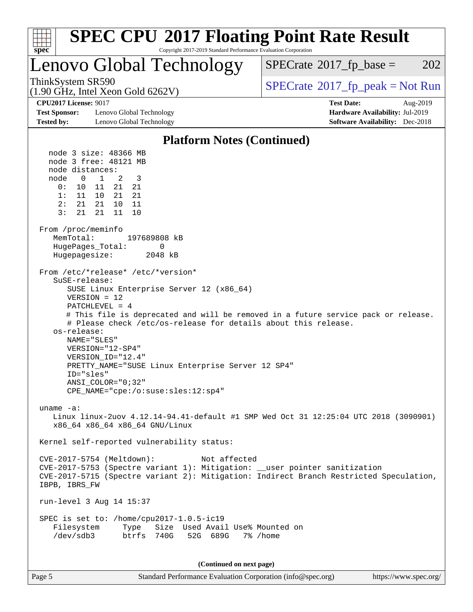

| аре |  |
|-----|--|
| L   |  |

Page 5 Standard Performance Evaluation Corporation [\(info@spec.org\)](mailto:info@spec.org) <https://www.spec.org/>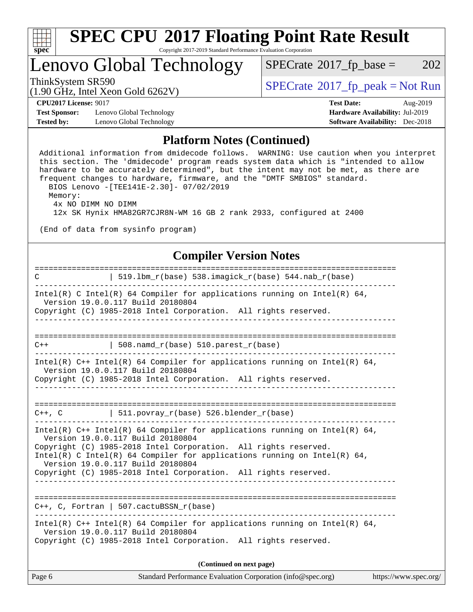

### Lenovo Global Technology

 $SPECTate@2017_fp\_base = 202$ 

(1.90 GHz, Intel Xeon Gold 6262V)

ThinkSystem SR590<br>(1.00 CHz, Intel Year Gald 6262V) [SPECrate](http://www.spec.org/auto/cpu2017/Docs/result-fields.html#SPECrate2017fppeak)®[2017\\_fp\\_peak = N](http://www.spec.org/auto/cpu2017/Docs/result-fields.html#SPECrate2017fppeak)ot Run

**[Test Sponsor:](http://www.spec.org/auto/cpu2017/Docs/result-fields.html#TestSponsor)** Lenovo Global Technology **[Hardware Availability:](http://www.spec.org/auto/cpu2017/Docs/result-fields.html#HardwareAvailability)** Jul-2019 **[Tested by:](http://www.spec.org/auto/cpu2017/Docs/result-fields.html#Testedby)** Lenovo Global Technology **[Software Availability:](http://www.spec.org/auto/cpu2017/Docs/result-fields.html#SoftwareAvailability)** Dec-2018

**[CPU2017 License:](http://www.spec.org/auto/cpu2017/Docs/result-fields.html#CPU2017License)** 9017 **[Test Date:](http://www.spec.org/auto/cpu2017/Docs/result-fields.html#TestDate)** Aug-2019

#### **[Platform Notes \(Continued\)](http://www.spec.org/auto/cpu2017/Docs/result-fields.html#PlatformNotes)**

 Additional information from dmidecode follows. WARNING: Use caution when you interpret this section. The 'dmidecode' program reads system data which is "intended to allow hardware to be accurately determined", but the intent may not be met, as there are frequent changes to hardware, firmware, and the "DMTF SMBIOS" standard. BIOS Lenovo -[TEE141E-2.30]- 07/02/2019 Memory: 4x NO DIMM NO DIMM 12x SK Hynix HMA82GR7CJR8N-WM 16 GB 2 rank 2933, configured at 2400 (End of data from sysinfo program) **[Compiler Version Notes](http://www.spec.org/auto/cpu2017/Docs/result-fields.html#CompilerVersionNotes)** ============================================================================== C | 519.lbm\_r(base) 538.imagick\_r(base) 544.nab\_r(base) ------------------------------------------------------------------------------ Intel(R) C Intel(R) 64 Compiler for applications running on Intel(R) 64, Version 19.0.0.117 Build 20180804 Copyright (C) 1985-2018 Intel Corporation. All rights reserved. ------------------------------------------------------------------------------ ==============================================================================  $C++$  | 508.namd\_r(base) 510.parest\_r(base) ------------------------------------------------------------------------------ Intel(R) C++ Intel(R) 64 Compiler for applications running on Intel(R) 64, Version 19.0.0.117 Build 20180804 Copyright (C) 1985-2018 Intel Corporation. All rights reserved. ------------------------------------------------------------------------------ ==============================================================================  $C++$ ,  $C$  | 511.povray\_r(base) 526.blender\_r(base) ------------------------------------------------------------------------------ Intel(R)  $C++$  Intel(R) 64 Compiler for applications running on Intel(R) 64, Version 19.0.0.117 Build 20180804 Copyright (C) 1985-2018 Intel Corporation. All rights reserved. Intel(R) C Intel(R) 64 Compiler for applications running on Intel(R)  $64$ , Version 19.0.0.117 Build 20180804 Copyright (C) 1985-2018 Intel Corporation. All rights reserved. ------------------------------------------------------------------------------ ============================================================================== C++, C, Fortran | 507.cactuBSSN\_r(base) ------------------------------------------------------------------------------ Intel(R)  $C++$  Intel(R) 64 Compiler for applications running on Intel(R) 64, Version 19.0.0.117 Build 20180804 Copyright (C) 1985-2018 Intel Corporation. All rights reserved. **(Continued on next page)**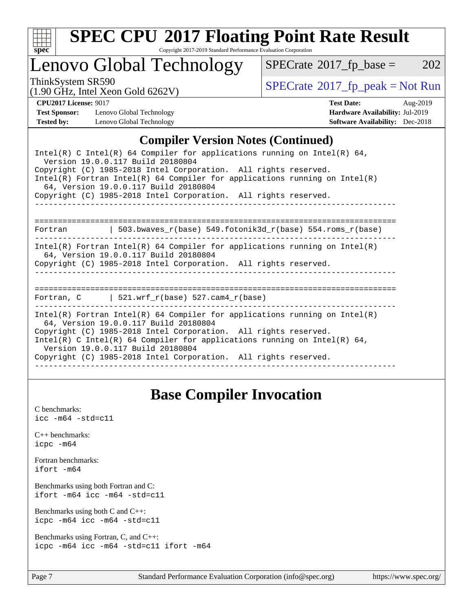

# **[SPEC CPU](http://www.spec.org/auto/cpu2017/Docs/result-fields.html#SPECCPU2017FloatingPointRateResult)[2017 Floating Point Rate Result](http://www.spec.org/auto/cpu2017/Docs/result-fields.html#SPECCPU2017FloatingPointRateResult)**

Copyright 2017-2019 Standard Performance Evaluation Corporation

### Lenovo Global Technology

 $SPECTate@2017_fp\_base = 202$ 

(1.90 GHz, Intel Xeon Gold 6262V)

ThinkSystem SR590<br>(1.00 GHz, Intel Year Gold 6262V) [SPECrate](http://www.spec.org/auto/cpu2017/Docs/result-fields.html#SPECrate2017fppeak)®[2017\\_fp\\_peak = N](http://www.spec.org/auto/cpu2017/Docs/result-fields.html#SPECrate2017fppeak)ot Run

**[Test Sponsor:](http://www.spec.org/auto/cpu2017/Docs/result-fields.html#TestSponsor)** Lenovo Global Technology **[Hardware Availability:](http://www.spec.org/auto/cpu2017/Docs/result-fields.html#HardwareAvailability)** Jul-2019 **[Tested by:](http://www.spec.org/auto/cpu2017/Docs/result-fields.html#Testedby)** Lenovo Global Technology **[Software Availability:](http://www.spec.org/auto/cpu2017/Docs/result-fields.html#SoftwareAvailability)** Dec-2018

**[CPU2017 License:](http://www.spec.org/auto/cpu2017/Docs/result-fields.html#CPU2017License)** 9017 **[Test Date:](http://www.spec.org/auto/cpu2017/Docs/result-fields.html#TestDate)** Aug-2019

#### **[Compiler Version Notes \(Continued\)](http://www.spec.org/auto/cpu2017/Docs/result-fields.html#CompilerVersionNotes)**

| Intel(R) C Intel(R) 64 Compiler for applications running on Intel(R) 64,<br>Version 19.0.0.117 Build 20180804<br>Copyright (C) 1985-2018 Intel Corporation. All rights reserved.<br>Intel(R) Fortran Intel(R) 64 Compiler for applications running on Intel(R)<br>64, Version 19.0.0.117 Build 20180804<br>Copyright (C) 1985-2018 Intel Corporation. All rights reserved.   |  |  |  |  |  |
|------------------------------------------------------------------------------------------------------------------------------------------------------------------------------------------------------------------------------------------------------------------------------------------------------------------------------------------------------------------------------|--|--|--|--|--|
| Fortran $\vert$ 503.bwaves r(base) 549.fotonik3d r(base) 554.roms r(base)                                                                                                                                                                                                                                                                                                    |  |  |  |  |  |
| Intel(R) Fortran Intel(R) 64 Compiler for applications running on Intel(R)<br>64, Version 19.0.0.117 Build 20180804<br>Copyright (C) 1985-2018 Intel Corporation. All rights reserved.                                                                                                                                                                                       |  |  |  |  |  |
| =================================<br>Fortran, C $\vert$ 521.wrf r(base) 527.cam4 r(base)                                                                                                                                                                                                                                                                                     |  |  |  |  |  |
| $Intel(R)$ Fortran Intel(R) 64 Compiler for applications running on Intel(R)<br>64, Version 19.0.0.117 Build 20180804<br>Copyright (C) 1985-2018 Intel Corporation. All rights reserved.<br>Intel(R) C Intel(R) 64 Compiler for applications running on Intel(R) 64,<br>Version 19.0.0.117 Build 20180804<br>Copyright (C) 1985-2018 Intel Corporation. All rights reserved. |  |  |  |  |  |

### **[Base Compiler Invocation](http://www.spec.org/auto/cpu2017/Docs/result-fields.html#BaseCompilerInvocation)**

[C benchmarks](http://www.spec.org/auto/cpu2017/Docs/result-fields.html#Cbenchmarks):  $\text{icc}$  -m64 -std=c11 [C++ benchmarks:](http://www.spec.org/auto/cpu2017/Docs/result-fields.html#CXXbenchmarks) [icpc -m64](http://www.spec.org/cpu2017/results/res2019q3/cpu2017-20190819-16993.flags.html#user_CXXbase_intel_icpc_64bit_4ecb2543ae3f1412ef961e0650ca070fec7b7afdcd6ed48761b84423119d1bf6bdf5cad15b44d48e7256388bc77273b966e5eb805aefd121eb22e9299b2ec9d9) [Fortran benchmarks](http://www.spec.org/auto/cpu2017/Docs/result-fields.html#Fortranbenchmarks): [ifort -m64](http://www.spec.org/cpu2017/results/res2019q3/cpu2017-20190819-16993.flags.html#user_FCbase_intel_ifort_64bit_24f2bb282fbaeffd6157abe4f878425411749daecae9a33200eee2bee2fe76f3b89351d69a8130dd5949958ce389cf37ff59a95e7a40d588e8d3a57e0c3fd751) [Benchmarks using both Fortran and C](http://www.spec.org/auto/cpu2017/Docs/result-fields.html#BenchmarksusingbothFortranandC): [ifort -m64](http://www.spec.org/cpu2017/results/res2019q3/cpu2017-20190819-16993.flags.html#user_CC_FCbase_intel_ifort_64bit_24f2bb282fbaeffd6157abe4f878425411749daecae9a33200eee2bee2fe76f3b89351d69a8130dd5949958ce389cf37ff59a95e7a40d588e8d3a57e0c3fd751) [icc -m64 -std=c11](http://www.spec.org/cpu2017/results/res2019q3/cpu2017-20190819-16993.flags.html#user_CC_FCbase_intel_icc_64bit_c11_33ee0cdaae7deeeab2a9725423ba97205ce30f63b9926c2519791662299b76a0318f32ddfffdc46587804de3178b4f9328c46fa7c2b0cd779d7a61945c91cd35) [Benchmarks using both C and C++](http://www.spec.org/auto/cpu2017/Docs/result-fields.html#BenchmarksusingbothCandCXX): [icpc -m64](http://www.spec.org/cpu2017/results/res2019q3/cpu2017-20190819-16993.flags.html#user_CC_CXXbase_intel_icpc_64bit_4ecb2543ae3f1412ef961e0650ca070fec7b7afdcd6ed48761b84423119d1bf6bdf5cad15b44d48e7256388bc77273b966e5eb805aefd121eb22e9299b2ec9d9) [icc -m64 -std=c11](http://www.spec.org/cpu2017/results/res2019q3/cpu2017-20190819-16993.flags.html#user_CC_CXXbase_intel_icc_64bit_c11_33ee0cdaae7deeeab2a9725423ba97205ce30f63b9926c2519791662299b76a0318f32ddfffdc46587804de3178b4f9328c46fa7c2b0cd779d7a61945c91cd35) [Benchmarks using Fortran, C, and C++:](http://www.spec.org/auto/cpu2017/Docs/result-fields.html#BenchmarksusingFortranCandCXX) [icpc -m64](http://www.spec.org/cpu2017/results/res2019q3/cpu2017-20190819-16993.flags.html#user_CC_CXX_FCbase_intel_icpc_64bit_4ecb2543ae3f1412ef961e0650ca070fec7b7afdcd6ed48761b84423119d1bf6bdf5cad15b44d48e7256388bc77273b966e5eb805aefd121eb22e9299b2ec9d9) [icc -m64 -std=c11](http://www.spec.org/cpu2017/results/res2019q3/cpu2017-20190819-16993.flags.html#user_CC_CXX_FCbase_intel_icc_64bit_c11_33ee0cdaae7deeeab2a9725423ba97205ce30f63b9926c2519791662299b76a0318f32ddfffdc46587804de3178b4f9328c46fa7c2b0cd779d7a61945c91cd35) [ifort -m64](http://www.spec.org/cpu2017/results/res2019q3/cpu2017-20190819-16993.flags.html#user_CC_CXX_FCbase_intel_ifort_64bit_24f2bb282fbaeffd6157abe4f878425411749daecae9a33200eee2bee2fe76f3b89351d69a8130dd5949958ce389cf37ff59a95e7a40d588e8d3a57e0c3fd751)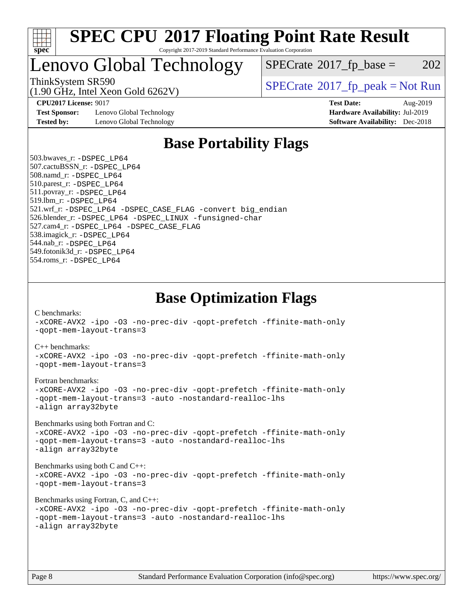

### Lenovo Global Technology

 $SPECTate@2017_fp\_base = 202$ 

(1.90 GHz, Intel Xeon Gold 6262V)

ThinkSystem SR590<br>(1.00 CHz, Intel Year Gald 6262V) [SPECrate](http://www.spec.org/auto/cpu2017/Docs/result-fields.html#SPECrate2017fppeak)®[2017\\_fp\\_peak = N](http://www.spec.org/auto/cpu2017/Docs/result-fields.html#SPECrate2017fppeak)ot Run

**[Test Sponsor:](http://www.spec.org/auto/cpu2017/Docs/result-fields.html#TestSponsor)** Lenovo Global Technology **[Hardware Availability:](http://www.spec.org/auto/cpu2017/Docs/result-fields.html#HardwareAvailability)** Jul-2019 **[Tested by:](http://www.spec.org/auto/cpu2017/Docs/result-fields.html#Testedby)** Lenovo Global Technology **[Software Availability:](http://www.spec.org/auto/cpu2017/Docs/result-fields.html#SoftwareAvailability)** Dec-2018

**[CPU2017 License:](http://www.spec.org/auto/cpu2017/Docs/result-fields.html#CPU2017License)** 9017 **[Test Date:](http://www.spec.org/auto/cpu2017/Docs/result-fields.html#TestDate)** Aug-2019

### **[Base Portability Flags](http://www.spec.org/auto/cpu2017/Docs/result-fields.html#BasePortabilityFlags)**

 503.bwaves\_r: [-DSPEC\\_LP64](http://www.spec.org/cpu2017/results/res2019q3/cpu2017-20190819-16993.flags.html#suite_basePORTABILITY503_bwaves_r_DSPEC_LP64) 507.cactuBSSN\_r: [-DSPEC\\_LP64](http://www.spec.org/cpu2017/results/res2019q3/cpu2017-20190819-16993.flags.html#suite_basePORTABILITY507_cactuBSSN_r_DSPEC_LP64) 508.namd\_r: [-DSPEC\\_LP64](http://www.spec.org/cpu2017/results/res2019q3/cpu2017-20190819-16993.flags.html#suite_basePORTABILITY508_namd_r_DSPEC_LP64) 510.parest\_r: [-DSPEC\\_LP64](http://www.spec.org/cpu2017/results/res2019q3/cpu2017-20190819-16993.flags.html#suite_basePORTABILITY510_parest_r_DSPEC_LP64) 511.povray\_r: [-DSPEC\\_LP64](http://www.spec.org/cpu2017/results/res2019q3/cpu2017-20190819-16993.flags.html#suite_basePORTABILITY511_povray_r_DSPEC_LP64) 519.lbm\_r: [-DSPEC\\_LP64](http://www.spec.org/cpu2017/results/res2019q3/cpu2017-20190819-16993.flags.html#suite_basePORTABILITY519_lbm_r_DSPEC_LP64) 521.wrf\_r: [-DSPEC\\_LP64](http://www.spec.org/cpu2017/results/res2019q3/cpu2017-20190819-16993.flags.html#suite_basePORTABILITY521_wrf_r_DSPEC_LP64) [-DSPEC\\_CASE\\_FLAG](http://www.spec.org/cpu2017/results/res2019q3/cpu2017-20190819-16993.flags.html#b521.wrf_r_baseCPORTABILITY_DSPEC_CASE_FLAG) [-convert big\\_endian](http://www.spec.org/cpu2017/results/res2019q3/cpu2017-20190819-16993.flags.html#user_baseFPORTABILITY521_wrf_r_convert_big_endian_c3194028bc08c63ac5d04de18c48ce6d347e4e562e8892b8bdbdc0214820426deb8554edfa529a3fb25a586e65a3d812c835984020483e7e73212c4d31a38223) 526.blender\_r: [-DSPEC\\_LP64](http://www.spec.org/cpu2017/results/res2019q3/cpu2017-20190819-16993.flags.html#suite_basePORTABILITY526_blender_r_DSPEC_LP64) [-DSPEC\\_LINUX](http://www.spec.org/cpu2017/results/res2019q3/cpu2017-20190819-16993.flags.html#b526.blender_r_baseCPORTABILITY_DSPEC_LINUX) [-funsigned-char](http://www.spec.org/cpu2017/results/res2019q3/cpu2017-20190819-16993.flags.html#user_baseCPORTABILITY526_blender_r_force_uchar_40c60f00ab013830e2dd6774aeded3ff59883ba5a1fc5fc14077f794d777847726e2a5858cbc7672e36e1b067e7e5c1d9a74f7176df07886a243d7cc18edfe67) 527.cam4\_r: [-DSPEC\\_LP64](http://www.spec.org/cpu2017/results/res2019q3/cpu2017-20190819-16993.flags.html#suite_basePORTABILITY527_cam4_r_DSPEC_LP64) [-DSPEC\\_CASE\\_FLAG](http://www.spec.org/cpu2017/results/res2019q3/cpu2017-20190819-16993.flags.html#b527.cam4_r_baseCPORTABILITY_DSPEC_CASE_FLAG) 538.imagick\_r: [-DSPEC\\_LP64](http://www.spec.org/cpu2017/results/res2019q3/cpu2017-20190819-16993.flags.html#suite_basePORTABILITY538_imagick_r_DSPEC_LP64) 544.nab\_r: [-DSPEC\\_LP64](http://www.spec.org/cpu2017/results/res2019q3/cpu2017-20190819-16993.flags.html#suite_basePORTABILITY544_nab_r_DSPEC_LP64) 549.fotonik3d\_r: [-DSPEC\\_LP64](http://www.spec.org/cpu2017/results/res2019q3/cpu2017-20190819-16993.flags.html#suite_basePORTABILITY549_fotonik3d_r_DSPEC_LP64) 554.roms\_r: [-DSPEC\\_LP64](http://www.spec.org/cpu2017/results/res2019q3/cpu2017-20190819-16993.flags.html#suite_basePORTABILITY554_roms_r_DSPEC_LP64)

**[Base Optimization Flags](http://www.spec.org/auto/cpu2017/Docs/result-fields.html#BaseOptimizationFlags)**

[C benchmarks](http://www.spec.org/auto/cpu2017/Docs/result-fields.html#Cbenchmarks):

[-xCORE-AVX2](http://www.spec.org/cpu2017/results/res2019q3/cpu2017-20190819-16993.flags.html#user_CCbase_f-xCORE-AVX2) [-ipo](http://www.spec.org/cpu2017/results/res2019q3/cpu2017-20190819-16993.flags.html#user_CCbase_f-ipo) [-O3](http://www.spec.org/cpu2017/results/res2019q3/cpu2017-20190819-16993.flags.html#user_CCbase_f-O3) [-no-prec-div](http://www.spec.org/cpu2017/results/res2019q3/cpu2017-20190819-16993.flags.html#user_CCbase_f-no-prec-div) [-qopt-prefetch](http://www.spec.org/cpu2017/results/res2019q3/cpu2017-20190819-16993.flags.html#user_CCbase_f-qopt-prefetch) [-ffinite-math-only](http://www.spec.org/cpu2017/results/res2019q3/cpu2017-20190819-16993.flags.html#user_CCbase_f_finite_math_only_cb91587bd2077682c4b38af759c288ed7c732db004271a9512da14a4f8007909a5f1427ecbf1a0fb78ff2a814402c6114ac565ca162485bbcae155b5e4258871) [-qopt-mem-layout-trans=3](http://www.spec.org/cpu2017/results/res2019q3/cpu2017-20190819-16993.flags.html#user_CCbase_f-qopt-mem-layout-trans_de80db37974c74b1f0e20d883f0b675c88c3b01e9d123adea9b28688d64333345fb62bc4a798493513fdb68f60282f9a726aa07f478b2f7113531aecce732043) [C++ benchmarks:](http://www.spec.org/auto/cpu2017/Docs/result-fields.html#CXXbenchmarks) [-xCORE-AVX2](http://www.spec.org/cpu2017/results/res2019q3/cpu2017-20190819-16993.flags.html#user_CXXbase_f-xCORE-AVX2) [-ipo](http://www.spec.org/cpu2017/results/res2019q3/cpu2017-20190819-16993.flags.html#user_CXXbase_f-ipo) [-O3](http://www.spec.org/cpu2017/results/res2019q3/cpu2017-20190819-16993.flags.html#user_CXXbase_f-O3) [-no-prec-div](http://www.spec.org/cpu2017/results/res2019q3/cpu2017-20190819-16993.flags.html#user_CXXbase_f-no-prec-div) [-qopt-prefetch](http://www.spec.org/cpu2017/results/res2019q3/cpu2017-20190819-16993.flags.html#user_CXXbase_f-qopt-prefetch) [-ffinite-math-only](http://www.spec.org/cpu2017/results/res2019q3/cpu2017-20190819-16993.flags.html#user_CXXbase_f_finite_math_only_cb91587bd2077682c4b38af759c288ed7c732db004271a9512da14a4f8007909a5f1427ecbf1a0fb78ff2a814402c6114ac565ca162485bbcae155b5e4258871) [-qopt-mem-layout-trans=3](http://www.spec.org/cpu2017/results/res2019q3/cpu2017-20190819-16993.flags.html#user_CXXbase_f-qopt-mem-layout-trans_de80db37974c74b1f0e20d883f0b675c88c3b01e9d123adea9b28688d64333345fb62bc4a798493513fdb68f60282f9a726aa07f478b2f7113531aecce732043) [Fortran benchmarks](http://www.spec.org/auto/cpu2017/Docs/result-fields.html#Fortranbenchmarks): [-xCORE-AVX2](http://www.spec.org/cpu2017/results/res2019q3/cpu2017-20190819-16993.flags.html#user_FCbase_f-xCORE-AVX2) [-ipo](http://www.spec.org/cpu2017/results/res2019q3/cpu2017-20190819-16993.flags.html#user_FCbase_f-ipo) [-O3](http://www.spec.org/cpu2017/results/res2019q3/cpu2017-20190819-16993.flags.html#user_FCbase_f-O3) [-no-prec-div](http://www.spec.org/cpu2017/results/res2019q3/cpu2017-20190819-16993.flags.html#user_FCbase_f-no-prec-div) [-qopt-prefetch](http://www.spec.org/cpu2017/results/res2019q3/cpu2017-20190819-16993.flags.html#user_FCbase_f-qopt-prefetch) [-ffinite-math-only](http://www.spec.org/cpu2017/results/res2019q3/cpu2017-20190819-16993.flags.html#user_FCbase_f_finite_math_only_cb91587bd2077682c4b38af759c288ed7c732db004271a9512da14a4f8007909a5f1427ecbf1a0fb78ff2a814402c6114ac565ca162485bbcae155b5e4258871) [-qopt-mem-layout-trans=3](http://www.spec.org/cpu2017/results/res2019q3/cpu2017-20190819-16993.flags.html#user_FCbase_f-qopt-mem-layout-trans_de80db37974c74b1f0e20d883f0b675c88c3b01e9d123adea9b28688d64333345fb62bc4a798493513fdb68f60282f9a726aa07f478b2f7113531aecce732043) [-auto](http://www.spec.org/cpu2017/results/res2019q3/cpu2017-20190819-16993.flags.html#user_FCbase_f-auto) [-nostandard-realloc-lhs](http://www.spec.org/cpu2017/results/res2019q3/cpu2017-20190819-16993.flags.html#user_FCbase_f_2003_std_realloc_82b4557e90729c0f113870c07e44d33d6f5a304b4f63d4c15d2d0f1fab99f5daaed73bdb9275d9ae411527f28b936061aa8b9c8f2d63842963b95c9dd6426b8a) [-align array32byte](http://www.spec.org/cpu2017/results/res2019q3/cpu2017-20190819-16993.flags.html#user_FCbase_align_array32byte_b982fe038af199962ba9a80c053b8342c548c85b40b8e86eb3cc33dee0d7986a4af373ac2d51c3f7cf710a18d62fdce2948f201cd044323541f22fc0fffc51b6) [Benchmarks using both Fortran and C](http://www.spec.org/auto/cpu2017/Docs/result-fields.html#BenchmarksusingbothFortranandC): [-xCORE-AVX2](http://www.spec.org/cpu2017/results/res2019q3/cpu2017-20190819-16993.flags.html#user_CC_FCbase_f-xCORE-AVX2) [-ipo](http://www.spec.org/cpu2017/results/res2019q3/cpu2017-20190819-16993.flags.html#user_CC_FCbase_f-ipo) [-O3](http://www.spec.org/cpu2017/results/res2019q3/cpu2017-20190819-16993.flags.html#user_CC_FCbase_f-O3) [-no-prec-div](http://www.spec.org/cpu2017/results/res2019q3/cpu2017-20190819-16993.flags.html#user_CC_FCbase_f-no-prec-div) [-qopt-prefetch](http://www.spec.org/cpu2017/results/res2019q3/cpu2017-20190819-16993.flags.html#user_CC_FCbase_f-qopt-prefetch) [-ffinite-math-only](http://www.spec.org/cpu2017/results/res2019q3/cpu2017-20190819-16993.flags.html#user_CC_FCbase_f_finite_math_only_cb91587bd2077682c4b38af759c288ed7c732db004271a9512da14a4f8007909a5f1427ecbf1a0fb78ff2a814402c6114ac565ca162485bbcae155b5e4258871) [-qopt-mem-layout-trans=3](http://www.spec.org/cpu2017/results/res2019q3/cpu2017-20190819-16993.flags.html#user_CC_FCbase_f-qopt-mem-layout-trans_de80db37974c74b1f0e20d883f0b675c88c3b01e9d123adea9b28688d64333345fb62bc4a798493513fdb68f60282f9a726aa07f478b2f7113531aecce732043) [-auto](http://www.spec.org/cpu2017/results/res2019q3/cpu2017-20190819-16993.flags.html#user_CC_FCbase_f-auto) [-nostandard-realloc-lhs](http://www.spec.org/cpu2017/results/res2019q3/cpu2017-20190819-16993.flags.html#user_CC_FCbase_f_2003_std_realloc_82b4557e90729c0f113870c07e44d33d6f5a304b4f63d4c15d2d0f1fab99f5daaed73bdb9275d9ae411527f28b936061aa8b9c8f2d63842963b95c9dd6426b8a) [-align array32byte](http://www.spec.org/cpu2017/results/res2019q3/cpu2017-20190819-16993.flags.html#user_CC_FCbase_align_array32byte_b982fe038af199962ba9a80c053b8342c548c85b40b8e86eb3cc33dee0d7986a4af373ac2d51c3f7cf710a18d62fdce2948f201cd044323541f22fc0fffc51b6) [Benchmarks using both C and C++](http://www.spec.org/auto/cpu2017/Docs/result-fields.html#BenchmarksusingbothCandCXX): [-xCORE-AVX2](http://www.spec.org/cpu2017/results/res2019q3/cpu2017-20190819-16993.flags.html#user_CC_CXXbase_f-xCORE-AVX2) [-ipo](http://www.spec.org/cpu2017/results/res2019q3/cpu2017-20190819-16993.flags.html#user_CC_CXXbase_f-ipo) [-O3](http://www.spec.org/cpu2017/results/res2019q3/cpu2017-20190819-16993.flags.html#user_CC_CXXbase_f-O3) [-no-prec-div](http://www.spec.org/cpu2017/results/res2019q3/cpu2017-20190819-16993.flags.html#user_CC_CXXbase_f-no-prec-div) [-qopt-prefetch](http://www.spec.org/cpu2017/results/res2019q3/cpu2017-20190819-16993.flags.html#user_CC_CXXbase_f-qopt-prefetch) [-ffinite-math-only](http://www.spec.org/cpu2017/results/res2019q3/cpu2017-20190819-16993.flags.html#user_CC_CXXbase_f_finite_math_only_cb91587bd2077682c4b38af759c288ed7c732db004271a9512da14a4f8007909a5f1427ecbf1a0fb78ff2a814402c6114ac565ca162485bbcae155b5e4258871) [-qopt-mem-layout-trans=3](http://www.spec.org/cpu2017/results/res2019q3/cpu2017-20190819-16993.flags.html#user_CC_CXXbase_f-qopt-mem-layout-trans_de80db37974c74b1f0e20d883f0b675c88c3b01e9d123adea9b28688d64333345fb62bc4a798493513fdb68f60282f9a726aa07f478b2f7113531aecce732043) [Benchmarks using Fortran, C, and C++:](http://www.spec.org/auto/cpu2017/Docs/result-fields.html#BenchmarksusingFortranCandCXX) [-xCORE-AVX2](http://www.spec.org/cpu2017/results/res2019q3/cpu2017-20190819-16993.flags.html#user_CC_CXX_FCbase_f-xCORE-AVX2) [-ipo](http://www.spec.org/cpu2017/results/res2019q3/cpu2017-20190819-16993.flags.html#user_CC_CXX_FCbase_f-ipo) [-O3](http://www.spec.org/cpu2017/results/res2019q3/cpu2017-20190819-16993.flags.html#user_CC_CXX_FCbase_f-O3) [-no-prec-div](http://www.spec.org/cpu2017/results/res2019q3/cpu2017-20190819-16993.flags.html#user_CC_CXX_FCbase_f-no-prec-div) [-qopt-prefetch](http://www.spec.org/cpu2017/results/res2019q3/cpu2017-20190819-16993.flags.html#user_CC_CXX_FCbase_f-qopt-prefetch) [-ffinite-math-only](http://www.spec.org/cpu2017/results/res2019q3/cpu2017-20190819-16993.flags.html#user_CC_CXX_FCbase_f_finite_math_only_cb91587bd2077682c4b38af759c288ed7c732db004271a9512da14a4f8007909a5f1427ecbf1a0fb78ff2a814402c6114ac565ca162485bbcae155b5e4258871) [-qopt-mem-layout-trans=3](http://www.spec.org/cpu2017/results/res2019q3/cpu2017-20190819-16993.flags.html#user_CC_CXX_FCbase_f-qopt-mem-layout-trans_de80db37974c74b1f0e20d883f0b675c88c3b01e9d123adea9b28688d64333345fb62bc4a798493513fdb68f60282f9a726aa07f478b2f7113531aecce732043) [-auto](http://www.spec.org/cpu2017/results/res2019q3/cpu2017-20190819-16993.flags.html#user_CC_CXX_FCbase_f-auto) [-nostandard-realloc-lhs](http://www.spec.org/cpu2017/results/res2019q3/cpu2017-20190819-16993.flags.html#user_CC_CXX_FCbase_f_2003_std_realloc_82b4557e90729c0f113870c07e44d33d6f5a304b4f63d4c15d2d0f1fab99f5daaed73bdb9275d9ae411527f28b936061aa8b9c8f2d63842963b95c9dd6426b8a) [-align array32byte](http://www.spec.org/cpu2017/results/res2019q3/cpu2017-20190819-16993.flags.html#user_CC_CXX_FCbase_align_array32byte_b982fe038af199962ba9a80c053b8342c548c85b40b8e86eb3cc33dee0d7986a4af373ac2d51c3f7cf710a18d62fdce2948f201cd044323541f22fc0fffc51b6)